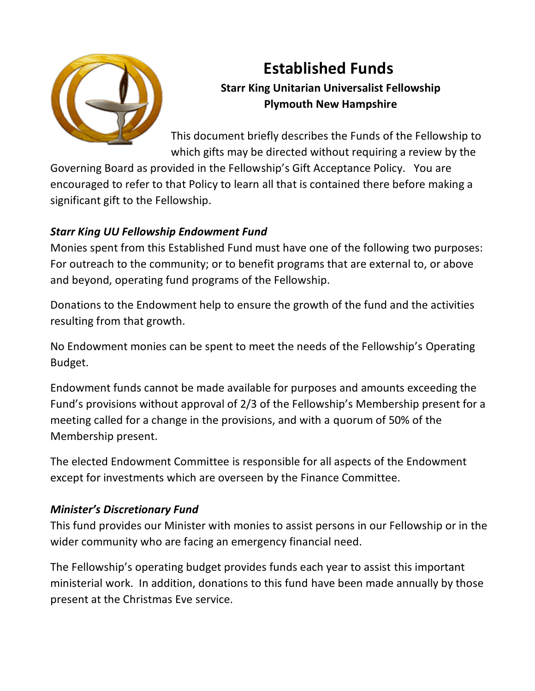

# **Established Funds Starr King Unitarian Universalist Fellowship Plymouth New Hampshire**

This document briefly describes the Funds of the Fellowship to which gifts may be directed without requiring a review by the

Governing Board as provided in the Fellowship's Gift Acceptance Policy. You are encouraged to refer to that Policy to learn all that is contained there before making a significant gift to the Fellowship.

## *Starr King UU Fellowship Endowment Fund*

Monies spent from this Established Fund must have one of the following two purposes: For outreach to the community; or to benefit programs that are external to, or above and beyond, operating fund programs of the Fellowship.

Donations to the Endowment help to ensure the growth of the fund and the activities resulting from that growth.

No Endowment monies can be spent to meet the needs of the Fellowship's Operating Budget.

Endowment funds cannot be made available for purposes and amounts exceeding the Fund's provisions without approval of 2/3 of the Fellowship's Membership present for a meeting called for a change in the provisions, and with a quorum of 50% of the Membership present.

The elected Endowment Committee is responsible for all aspects of the Endowment except for investments which are overseen by the Finance Committee.

## *Minister's Discretionary Fund*

This fund provides our Minister with monies to assist persons in our Fellowship or in the wider community who are facing an emergency financial need.

The Fellowship's operating budget provides funds each year to assist this important ministerial work. In addition, donations to this fund have been made annually by those present at the Christmas Eve service.